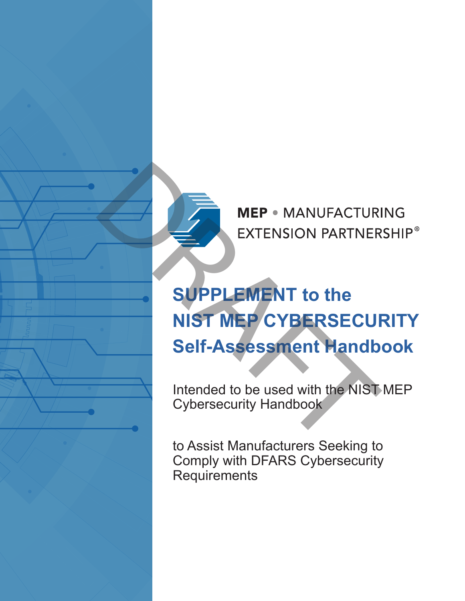

# MEP • MANUFACTURIEXTENSION PARTNER<br>
SUPPLEMENT to the<br>
NIST MEP CYBERSECUI<br>
Self-Assessment Handb<br>
Intended to be used with the NIST<br>
Cybersecurity Handbook<br>
to Assist Manufacturers Seeking to **NIST MEP CYBERSECURITY Self-Assessment Handbook**

Intended to be used with the NIST MEP Cybersecurity Handbook

to Assist Manufacturers Seeking to Comply with DFARS Cybersecurity **Requirements**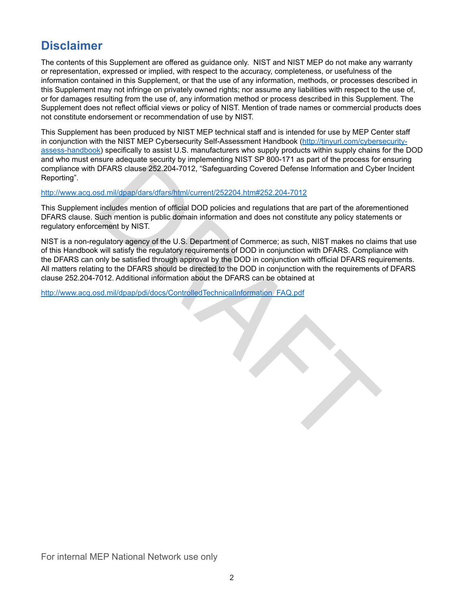## **Disclaimer**

The contents of this Supplement are offered as guidance only. NIST and NIST MEP do not make any warranty or representation, expressed or implied, with respect to the accuracy, completeness, or usefulness of the information contained in this Supplement, or that the use of any information, methods, or processes described in this Supplement may not infringe on privately owned rights; nor assume any liabilities with respect to the use of, or for damages resulting from the use of, any information method or process described in this Supplement. The Supplement does not reflect official views or policy of NIST. Mention of trade names or commercial products does not constitute endorsement or recommendation of use by NIST.

This Supplement has been produced by NIST MEP technical staff and is intended for use by MEP Center staff in conjunction with the NIST MEP Cybersecurity Self-Assessment Handbook [\(http://tinyurl.com/cybersecurity](http://tinyurl.com/cybersecurity-assess-handbook)[assess-handbook](http://tinyurl.com/cybersecurity-assess-handbook)) specifically to assist U.S. manufacturers who supply products within supply chains for the DOD and who must ensure adequate security by implementing NIST SP 800-171 as part of the process for ensuring compliance with DFARS clause 252.204-7012, "Safeguarding Covered Defense Information and Cyber Incident Reporting".

#### http://www.acq.osd.mil/dpap/dars/dfars/html/current/252204.htm#252.204-7012

This Supplement includes mention of official DOD policies and regulations that are part of the aforementioned DFARS clause. Such mention is public domain information and does not constitute any policy statements or regulatory enforcement by NIST.

busine trace paramy of multiplant (Scale of [D](http://www.acq.osd.mil/dpap/dars/dfars/html/current/252204.htm#252.204-7012)efense Information and Cyber Christopher Christopher Christopher Christopher Christopher Christopher Christopher Christopher Christopher Christopher Christopher Christopher Chri NIST is a non-regulatory agency of the U.S. Department of Commerce; as such, NIST makes no claims that use of this Handbook will satisfy the regulatory requirements of DOD in conjunction with DFARS. Compliance with the DFARS can only be satisfied through approval by the DOD in conjunction with official DFARS requirements. All matters relating to the DFARS should be directed to the DOD in conjunction with the requirements of DFARS clause 252.204-7012. Additional information about the DFARS can be obtained at

http://www.acq.osd.mil/dpap/pdi/docs/ControlledTechnicalInformation\_FAQ.pdf

For internal MEP National Network use only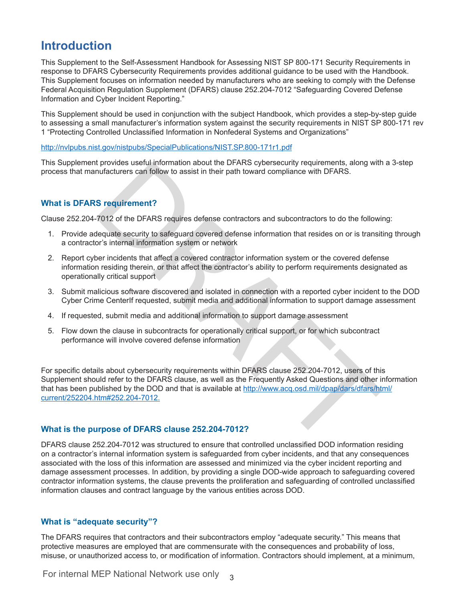### **Introduction**

This Supplement to the Self-Assessment Handbook for Assessing NIST SP 800-171 Security Requirements in response to DFARS Cybersecurity Requirements provides additional guidance to be used with the Handbook. This Supplement focuses on information needed by manufacturers who are seeking to comply with the Defense Federal Acquisition Regulation Supplement (DFARS) clause 252.204-7012 "Safeguarding Covered Defense Information and Cyber Incident Reporting."

This Supplement should be used in conjunction with the subject Handbook, which provides a step-by-step guide to assessing a small manufacturer's information system against the security requirements in NIST SP 800-171 rev 1 "Protecting Controlled Unclassified Information in Nonfederal Systems and Organizations"

[http://nvlpubs.nist.gov/nistpubs/SpecialPublications/NIST.SP.800-171r1.pdf](http://nvlpubs.nist.gov/nistpubs/SpecialPublications/NIST.SP.800-171r1.pdf )

This Supplement provides useful information about the DFARS cybersecurity requirements, along with a 3-step process that manufacturers can follow to assist in their path toward compliance with DFARS.

#### **What is DFARS requirement?**

Clause 252.204-7012 of the DFARS requires defense contractors and subcontractors to do the following:

- 1. Provide adequate security to safeguard covered defense information that resides on or is transiting through a contractor's internal information system or network
- 2. Report cyber incidents that affect a covered contractor information system or the covered defense information residing therein, or that affect the contractor's ability to perform requirements designated as operationally critical support
- 3. Submit malicious software discovered and isolated in connection with a reported cyber incident to the DOD Cyber Crime CenterIf requested, submit media and additional information to support damage assessment
- 4. If requested, submit media and additional information to support damage assessment
- 5. Flow down the clause in subcontracts for operationally critical support, or for which subcontract performance will involve covered defense information

t provides useful information about the DFARS cypersecurity requirements, along with<br>undacturers can follow to assist in their path toward compliance with DFARS.<br>S requirement?<br>Tot2 of the DFARS requires defense contractor For specific details about cybersecurity requirements within DFARS clause 252.204-7012, users of this Supplement should refer to the DFARS clause, as well as the Frequently Asked Questions and other information that has been published by the DOD and that is available at http://www.acq.osd.mil/dpap/dars/dfars/html/ [current/252204.htm#252.204-7012.](http://www.acq.osd.mil/dpap/dars/dfars/html/current/252204.htm#252.204-7012.)

#### **What is the purpose of DFARS clause 252.204-7012?**

DFARS clause 252.204-7012 was structured to ensure that controlled unclassified DOD information residing on a contractor's internal information system is safeguarded from cyber incidents, and that any consequences associated with the loss of this information are assessed and minimized via the cyber incident reporting and damage assessment processes. In addition, by providing a single DOD-wide approach to safeguarding covered contractor information systems, the clause prevents the proliferation and safeguarding of controlled unclassified information clauses and contract language by the various entities across DOD.

#### **What is "adequate security"?**

The DFARS requires that contractors and their subcontractors employ "adequate security." This means that protective measures are employed that are commensurate with the consequences and probability of loss, misuse, or unauthorized access to, or modification of information. Contractors should implement, at a minimum,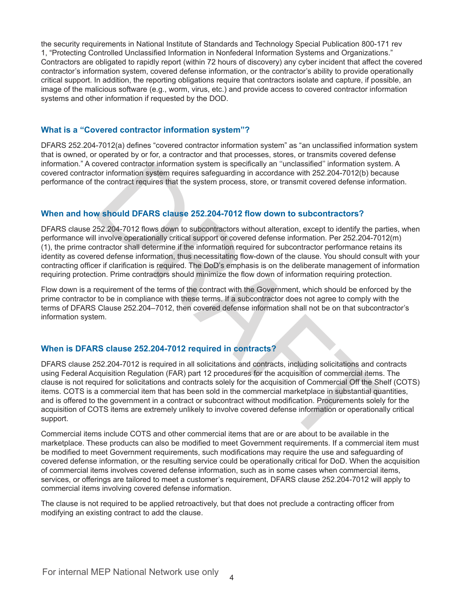the security requirements in National Institute of Standards and Technology Special Publication 800-171 rev 1, "Protecting Controlled Unclassified Information in Nonfederal Information Systems and Organizations." Contractors are obligated to rapidly report (within 72 hours of discovery) any cyber incident that affect the covered contractor's information system, covered defense information, or the contractor's ability to provide operationally critical support. In addition, the reporting obligations require that contractors isolate and capture, if possible, an image of the malicious software (e.g., worm, virus, etc.) and provide access to covered contractor information systems and other information if requested by the DOD.

#### **What is a "Covered contractor information system"?**

DFARS 252.204-7012(a) defines "covered contractor information system" as "an unclassified information system that is owned, or operated by or for, a contractor and that processes, stores, or transmits covered defense information." A covered contractor information system is specifically an ''unclassified'' information system. A covered contractor information system requires safeguarding in accordance with 252.204-7012(b) because performance of the contract requires that the system process, store, or transmit covered defense information.

#### **When and how should DFARS clause 252.204-7012 flow down to subcontractors?**

DFARS clause 252.204-7012 flows down to subcontractors without alteration, except to identify the parties, when performance will involve operationally critical support or covered defense information. Per 252.204-7012(m) (1), the prime contractor shall determine if the information required for subcontractor performance retains its identity as covered defense information, thus necessitating flow-down of the clause. You should consult with your contracting officer if clarification is required. The DoD's emphasis is on the deliberate management of information requiring protection. Prime contractors should minimize the flow down of information requiring protection.

Flow down is a requirement of the terms of the contract with the Government, which should be enforced by the prime contractor to be in compliance with these terms. If a subcontractor does not agree to comply with the terms of DFARS Clause 252.204–7012, then covered defense information shall not be on that subcontractor's information system.

#### **When is DFARS clause 252.204-7012 required in contracts?**

overed contractor information system is specifically an "unclassified" information system requires safeguarding in accordance with 252.204-7012(b) becombed the contract requires that the system process, store, or transmit DFARS clause 252.204-7012 is required in all solicitations and contracts, including solicitations and contracts using Federal Acquisition Regulation (FAR) part 12 procedures for the acquisition of commercial items. The clause is not required for solicitations and contracts solely for the acquisition of Commercial Off the Shelf (COTS) items. COTS is a commercial item that has been sold in the commercial marketplace in substantial quantities, and is offered to the government in a contract or subcontract without modification. Procurements solely for the acquisition of COTS items are extremely unlikely to involve covered defense information or operationally critical support.

Commercial items include COTS and other commercial items that are or are about to be available in the marketplace. These products can also be modified to meet Government requirements. If a commercial item must be modified to meet Government requirements, such modifications may require the use and safeguarding of covered defense information, or the resulting service could be operationally critical for DoD. When the acquisition of commercial items involves covered defense information, such as in some cases when commercial items, services, or offerings are tailored to meet a customer's requirement, DFARS clause 252.204-7012 will apply to commercial items involving covered defense information.

The clause is not required to be applied retroactively, but that does not preclude a contracting officer from modifying an existing contract to add the clause.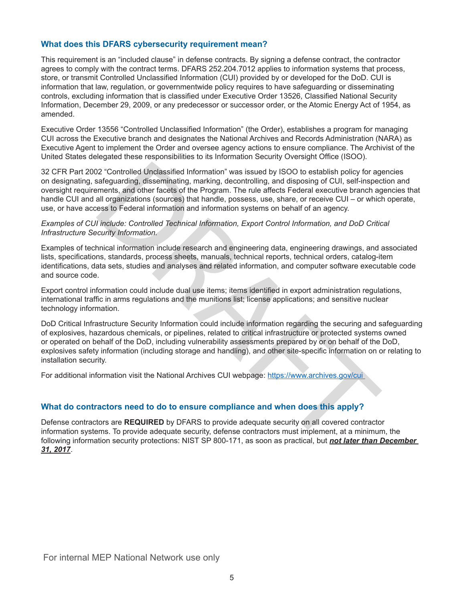#### **What does this DFARS cybersecurity requirement mean?**

This requirement is an "included clause" in defense contracts. By signing a defense contract, the contractor agrees to comply with the contract terms. DFARS 252.204.7012 applies to information systems that process, store, or transmit Controlled Unclassified Information (CUI) provided by or developed for the DoD. CUI is information that law, regulation, or governmentwide policy requires to have safeguarding or disseminating controls, excluding information that is classified under Executive Order 13526, Classified National Security Information, December 29, 2009, or any predecessor or successor order, or the Atomic Energy Act of 1954, as amended.

Executive Order 13556 "Controlled Unclassified Information" (the Order), establishes a program for managing CUI across the Executive branch and designates the National Archives and Records Administration (NARA) as Executive Agent to implement the Order and oversee agency actions to ensure compliance. The Archivist of the United States delegated these responsibilities to its Information Security Oversight Office (ISOO).

22 "Controlled Unclassified Information" was issued by ISOO to establish policy for agafeguarding, disseminating, marking, decontrolling, and disposing of CUI, self-inspected and other facets of the Program. The rule affec 32 CFR Part 2002 "Controlled Unclassified Information" was issued by ISOO to establish policy for agencies on designating, safeguarding, disseminating, marking, decontrolling, and disposing of CUI, self-inspection and oversight requirements, and other facets of the Program. The rule affects Federal executive branch agencies that handle CUI and all organizations (sources) that handle, possess, use, share, or receive CUI – or which operate, use, or have access to Federal information and information systems on behalf of an agency.

*Examples of CUI include: Controlled Technical Information, Export Control Information, and DoD Critical Infrastructure Security Information.* 

Examples of technical information include research and engineering data, engineering drawings, and associated lists, specifications, standards, process sheets, manuals, technical reports, technical orders, catalog-item identifications, data sets, studies and analyses and related information, and computer software executable code and source code.

Export control information could include dual use items; items identified in export administration regulations, international traffic in arms regulations and the munitions list; license applications; and sensitive nuclear technology information.

DoD Critical Infrastructure Security Information could include information regarding the securing and safeguarding of explosives, hazardous chemicals, or pipelines, related to critical infrastructure or protected systems owned or operated on behalf of the DoD, including vulnerability assessments prepared by or on behalf of the DoD, explosives safety information (including storage and handling), and other site-specific information on or relating to installation security.

For additional information visit the National Archives CUI webpage: https://www.archives.gov/cui

#### **What do contractors need to do to ensure compliance and when does this apply?**

Defense contractors are **REQUIRED** by DFARS to provide adequate security on all covered contractor information systems. To provide adequate security, defense contractors must implement, at a minimum, the following information security protections: NIST SP 800-171, as soon as practical, but *not later than December 31, 2017*.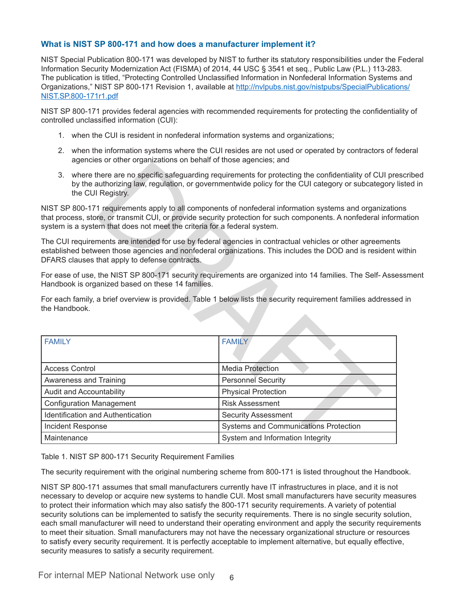#### **What is NIST SP 800-171 and how does a manufacturer implement it?**

NIST Special Publication 800-171 was developed by NIST to further its statutory responsibilities under the Federal Information Security Modernization Act (FISMA) of 2014, 44 USC § 3541 et seq., Public Law (P.L.) 113-283. The publication is titled, "Protecting Controlled Unclassified Information in Nonfederal Information Systems and Organizations," NIST SP 800-171 Revision 1, available at [http://nvlpubs.nist.gov/nistpubs/SpecialPublications/](http://nvlpubs.nist.gov/nistpubs/SpecialPublications/NIST.SP.800-171r1.pdf) [NIST.SP.800-171r1.pdf](http://nvlpubs.nist.gov/nistpubs/SpecialPublications/NIST.SP.800-171r1.pdf)

NIST SP 800-171 provides federal agencies with recommended requirements for protecting the confidentiality of controlled unclassified information (CUI):

- 1. when the CUI is resident in nonfederal information systems and organizations;
- 2. when the information systems where the CUI resides are not used or operated by contractors of federal agencies or other organizations on behalf of those agencies; and
- 3. where there are no specific safeguarding requirements for protecting the confidentiality of CUI prescribed by the authorizing law, regulation, or governmentwide policy for the CUI category or subcategory listed in the CUI Registry.

NIST SP 800-171 requirements apply to all components of nonfederal information systems and organizations that process, store, or transmit CUI, or provide security protection for such components. A nonfederal information system is a system that does not meet the criteria for a federal system.

The CUI requirements are intended for use by federal agencies in contractual vehicles or other agreements established between those agencies and nonfederal organizations. This includes the DOD and is resident within DFARS clauses that apply to defense contracts.

For ease of use, the NIST SP 800-171 security requirements are organized into 14 families. The Self- Assessment Handbook is organized based on these 14 families.

|                                                                                                                                                                                                                                                                                                     | agonoico or othor organizationo on bonían or those agonoico, and |                                                                                                                                                                                                                    |
|-----------------------------------------------------------------------------------------------------------------------------------------------------------------------------------------------------------------------------------------------------------------------------------------------------|------------------------------------------------------------------|--------------------------------------------------------------------------------------------------------------------------------------------------------------------------------------------------------------------|
| 3 <sub>1</sub>                                                                                                                                                                                                                                                                                      | the CUI Registry.                                                | where there are no specific safeguarding requirements for protecting the confidentiality of CUI pr<br>by the authorizing law, regulation, or governmentwide policy for the CUI category or subcategory             |
| NIST SP 800-171 requirements apply to all components of nonfederal information systems and organization<br>that process, store, or transmit CUI, or provide security protection for such components. A nonfederal infor<br>system is a system that does not meet the criteria for a federal system. |                                                                  |                                                                                                                                                                                                                    |
|                                                                                                                                                                                                                                                                                                     | DFARS clauses that apply to defense contracts.                   | The CUI requirements are intended for use by federal agencies in contractual vehicles or other agreement<br>established between those agencies and nonfederal organizations. This includes the DOD and is resident |
|                                                                                                                                                                                                                                                                                                     | Handbook is organized based on these 14 families.                | For ease of use, the NIST SP 800-171 security requirements are organized into 14 families. The Self-Ass                                                                                                            |
| the Handbook.                                                                                                                                                                                                                                                                                       |                                                                  | For each family, a brief overview is provided. Table 1 below lists the security requirement families address                                                                                                       |
| <b>FAMILY</b>                                                                                                                                                                                                                                                                                       |                                                                  | <b>FAMILY</b>                                                                                                                                                                                                      |
|                                                                                                                                                                                                                                                                                                     | <b>Access Control</b>                                            | <b>Media Protection</b>                                                                                                                                                                                            |
|                                                                                                                                                                                                                                                                                                     | Awareness and Training                                           | <b>Personnel Security</b>                                                                                                                                                                                          |
| Audit and Accountability                                                                                                                                                                                                                                                                            |                                                                  | <b>Physical Protection</b>                                                                                                                                                                                         |
| <b>Configuration Management</b>                                                                                                                                                                                                                                                                     |                                                                  | <b>Risk Assessment</b>                                                                                                                                                                                             |
| Identification and Authentication                                                                                                                                                                                                                                                                   |                                                                  | <b>Security Assessment</b>                                                                                                                                                                                         |
|                                                                                                                                                                                                                                                                                                     | Incident Response                                                | Systems and Communications Protection                                                                                                                                                                              |
| Maintenance                                                                                                                                                                                                                                                                                         |                                                                  | System and Information Integrity                                                                                                                                                                                   |
|                                                                                                                                                                                                                                                                                                     |                                                                  |                                                                                                                                                                                                                    |

Table 1. NIST SP 800-171 Security Requirement Families

The security requirement with the original numbering scheme from 800-171 is listed throughout the Handbook.

NIST SP 800-171 assumes that small manufacturers currently have IT infrastructures in place, and it is not necessary to develop or acquire new systems to handle CUI. Most small manufacturers have security measures to protect their information which may also satisfy the 800-171 security requirements. A variety of potential security solutions can be implemented to satisfy the security requirements. There is no single security solution, each small manufacturer will need to understand their operating environment and apply the security requirements to meet their situation. Small manufacturers may not have the necessary organizational structure or resources to satisfy every security requirement. It is perfectly acceptable to implement alternative, but equally effective, security measures to satisfy a security requirement.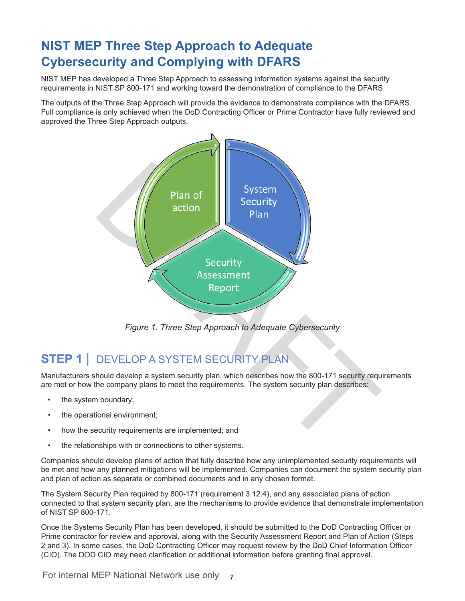# **NIST MEP Three Step Approach to Adequate Cybersecurity and Complying with DFARS**

NIST MEP has developed a Three Step Approach to assessing information systems against the security requirements in NIST SP 800-171 and working toward the demonstration of compliance to the DFARS.

The outputs of the Three Step Approach will provide the evidence to demonstrate compliance with the DFARS. Full compliance is only achieved when the DoD Contracting Officer or Prime Contractor have fully reviewed and approved the Three Step Approach outputs.



*Figure 1. Three Step Approach to Adequate Cybersecurity*

# **STEP 1** | DEVELOP A SYSTEM SECURITY PLAN

Manufacturers should develop a system security plan, which describes how the 800-171 security requirements are met or how the company plans to meet the requirements. The system security plan describes:

- the system boundary;
- the operational environment;
- how the security requirements are implemented; and
- the relationships with or connections to other systems.

Companies should develop plans of action that fully describe how any unimplemented security requirements will be met and how any planned mitigations will be implemented. Companies can document the system security plan and plan of action as separate or combined documents and in any chosen format.

The System Security Plan required by 800-171 (requirement 3.12.4), and any associated plans of action connected to that system security plan, are the mechanisms to provide evidence that demonstrate implementation of NIST SP 800-171.

Once the Systems Security Plan has been developed, it should be submitted to the DoD Contracting Officer or Prime contractor for review and approval, along with the Security Assessment Report and Plan of Action (Steps 2 and 3). In some cases, the DoD Contracting Officer may request review by the DoD Chief Information Officer (CIO). The DOD CIO may need clarification or additional information before granting final approval.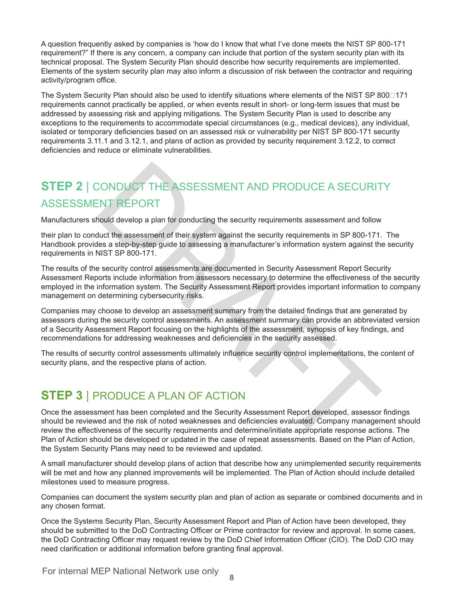A question frequently asked by companies is 'how do I know that what I've done meets the NIST SP 800-171 requirement?" If there is any concern, a company can include that portion of the system security plan with its technical proposal. The System Security Plan should describe how security requirements are implemented. Elements of the system security plan may also inform a discussion of risk between the contractor and requiring activity/program office.

The System Security Plan should also be used to identify situations where elements of the NIST SP 800<sup>171</sup> requirements cannot practically be applied, or when events result in short- or long-term issues that must be addressed by assessing risk and applying mitigations. The System Security Plan is used to describe any exceptions to the requirements to accommodate special circumstances (e.g., medical devices), any individual, isolated or temporary deficiencies based on an assessed risk or vulnerability per NIST SP 800-171 security requirements 3.11.1 and 3.12.1, and plans of action as provided by security requirement 3.12.2, to correct deficiencies and reduce or eliminate vulnerabilities.

# **STEP 2** | CONDUCT THE ASSESSMENT AND PRODUCE A SECURITY ASSESSMENT REPORT

Manufacturers should develop a plan for conducting the security requirements assessment and follow

their plan to conduct the assessment of their system against the security requirements in SP 800-171. The Handbook provides a step-by-step guide to assessing a manufacturer's information system against the security requirements in NIST SP 800-171.

The results of the security control assessments are documented in Security Assessment Report Security Assessment Reports include information from assessors necessary to determine the effectiveness of the security employed in the information system. The Security Assessment Report provides important information to company management on determining cybersecurity risks.

Companies may choose to develop an assessment summary from the detailed findings that are generated by assessors during the security control assessments. An assessment summary can provide an abbreviated version of a Security Assessment Report focusing on the highlights of the assessment, synopsis of key findings, and recommendations for addressing weaknesses and deficiencies in the security assessed.

The results of security control assessments ultimately influence security control implementations, the content of security plans, and the respective plans of action.

## **STEP 3** | PRODUCE A PLAN OF ACTION

CONDUCT THE ASSESSMENT AND PRODUCE A SECURIT<br>
ENT REPORT<br>
FORT ENT REPORT<br>
And develop a plan for conducting the security requirements assessment and follow<br>
duct the assessment of their system against the security require Once the assessment has been completed and the Security Assessment Report developed, assessor findings should be reviewed and the risk of noted weaknesses and deficiencies evaluated. Company management should review the effectiveness of the security requirements and determine/initiate appropriate response actions. The Plan of Action should be developed or updated in the case of repeat assessments. Based on the Plan of Action, the System Security Plans may need to be reviewed and updated.

A small manufacturer should develop plans of action that describe how any unimplemented security requirements will be met and how any planned improvements will be implemented. The Plan of Action should include detailed milestones used to measure progress.

Companies can document the system security plan and plan of action as separate or combined documents and in any chosen format.

Once the Systems Security Plan, Security Assessment Report and Plan of Action have been developed, they should be submitted to the DoD Contracting Officer or Prime contractor for review and approval. In some cases, the DoD Contracting Officer may request review by the DoD Chief Information Officer (CIO). The DoD CIO may need clarification or additional information before granting final approval.

For internal MEP National Network use only